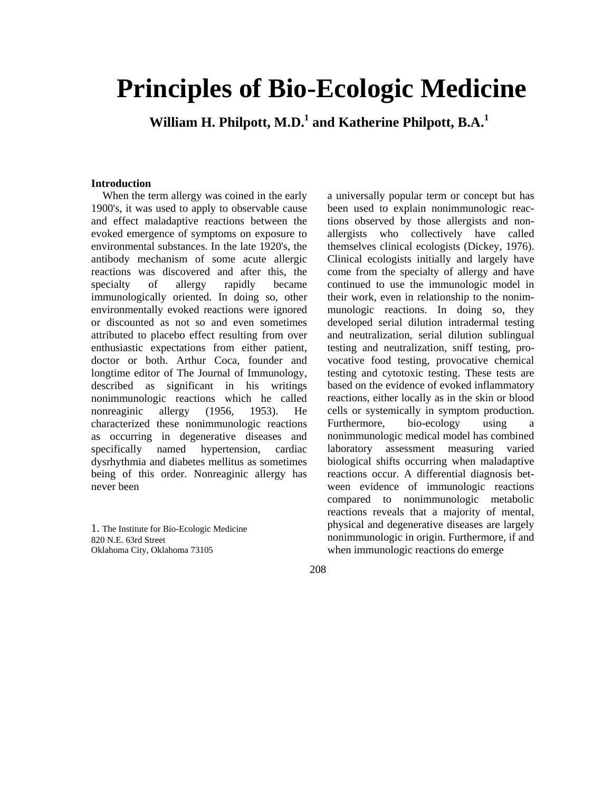# **Principles of Bio-Ecologic Medicine**

 **William H. Philpott, M.D.1 and Katherine Philpott, B.A.<sup>1</sup>**

### **Introduction**

When the term allergy was coined in the early 1900's, it was used to apply to observable cause and effect maladaptive reactions between the evoked emergence of symptoms on exposure to environmental substances. In the late 1920's, the antibody mechanism of some acute allergic reactions was discovered and after this, the specialty of allergy rapidly became immunologically oriented. In doing so, other environmentally evoked reactions were ignored or discounted as not so and even sometimes attributed to placebo effect resulting from over enthusiastic expectations from either patient, doctor or both. Arthur Coca, founder and longtime editor of The Journal of Immunology, described as significant in his writings nonimmunologic reactions which he called nonreaginic allergy (1956, 1953). He characterized these nonimmunologic reactions as occurring in degenerative diseases and specifically named hypertension, cardiac dysrhythmia and diabetes mellitus as sometimes being of this order. Nonreaginic allergy has never been

1. The Institute for Bio-Ecologic Medicine 820 N.E. 63rd Street Oklahoma City, Oklahoma 73105

a universally popular term or concept but has been used to explain nonimmunologic reactions observed by those allergists and nonallergists who collectively have called themselves clinical ecologists (Dickey, 1976). Clinical ecologists initially and largely have come from the specialty of allergy and have continued to use the immunologic model in their work, even in relationship to the nonimmunologic reactions. In doing so, they developed serial dilution intradermal testing and neutralization, serial dilution sublingual testing and neutralization, sniff testing, provocative food testing, provocative chemical testing and cytotoxic testing. These tests are based on the evidence of evoked inflammatory reactions, either locally as in the skin or blood cells or systemically in symptom production. Furthermore, bio-ecology using a nonimmunologic medical model has combined laboratory assessment measuring varied biological shifts occurring when maladaptive reactions occur. A differential diagnosis between evidence of immunologic reactions compared to nonimmunologic metabolic reactions reveals that a majority of mental, physical and degenerative diseases are largely nonimmunologic in origin. Furthermore, if and when immunologic reactions do emerge

208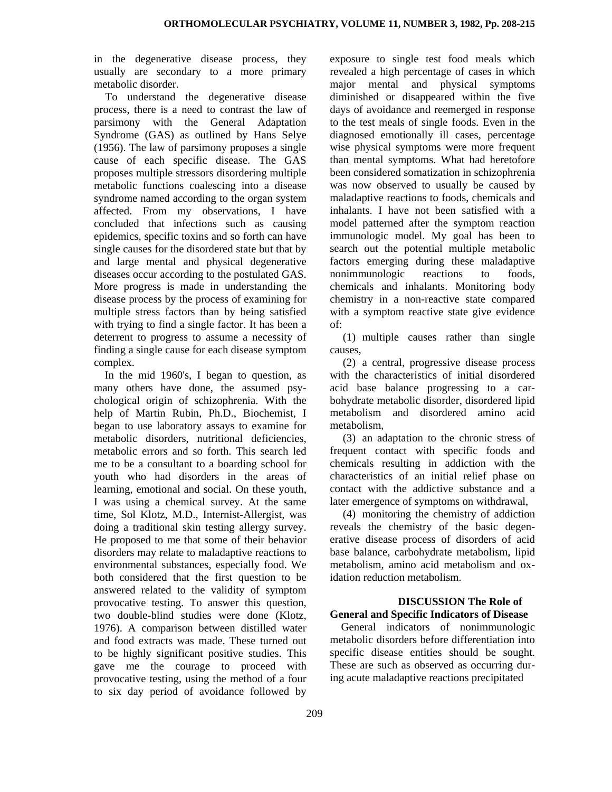in the degenerative disease process, they usually are secondary to a more primary metabolic disorder.

To understand the degenerative disease process, there is a need to contrast the law of parsimony with the General Adaptation Syndrome (GAS) as outlined by Hans Selye (1956). The law of parsimony proposes a single cause of each specific disease. The GAS proposes multiple stressors disordering multiple metabolic functions coalescing into a disease syndrome named according to the organ system affected. From my observations, I have concluded that infections such as causing epidemics, specific toxins and so forth can have single causes for the disordered state but that by and large mental and physical degenerative diseases occur according to the postulated GAS. More progress is made in understanding the disease process by the process of examining for multiple stress factors than by being satisfied with trying to find a single factor. It has been a deterrent to progress to assume a necessity of finding a single cause for each disease symptom complex.

In the mid 1960's, I began to question, as many others have done, the assumed psychological origin of schizophrenia. With the help of Martin Rubin, Ph.D., Biochemist, I began to use laboratory assays to examine for metabolic disorders, nutritional deficiencies, metabolic errors and so forth. This search led me to be a consultant to a boarding school for youth who had disorders in the areas of learning, emotional and social. On these youth, I was using a chemical survey. At the same time, Sol Klotz, M.D., Internist-Allergist, was doing a traditional skin testing allergy survey. He proposed to me that some of their behavior disorders may relate to maladaptive reactions to environmental substances, especially food. We both considered that the first question to be answered related to the validity of symptom provocative testing. To answer this question, two double-blind studies were done (Klotz, 1976). A comparison between distilled water and food extracts was made. These turned out to be highly significant positive studies. This gave me the courage to proceed with provocative testing, using the method of a four to six day period of avoidance followed by

exposure to single test food meals which revealed a high percentage of cases in which major mental and physical symptoms diminished or disappeared within the five days of avoidance and reemerged in response to the test meals of single foods. Even in the diagnosed emotionally ill cases, percentage wise physical symptoms were more frequent than mental symptoms. What had heretofore been considered somatization in schizophrenia was now observed to usually be caused by maladaptive reactions to foods, chemicals and inhalants. I have not been satisfied with a model patterned after the symptom reaction immunologic model. My goal has been to search out the potential multiple metabolic factors emerging during these maladaptive nonimmunologic reactions to foods, chemicals and inhalants. Monitoring body chemistry in a non-reactive state compared with a symptom reactive state give evidence of:

(1) multiple causes rather than single causes,

(2) a central, progressive disease process with the characteristics of initial disordered acid base balance progressing to a carbohydrate metabolic disorder, disordered lipid metabolism and disordered amino acid metabolism,

(3) an adaptation to the chronic stress of frequent contact with specific foods and chemicals resulting in addiction with the characteristics of an initial relief phase on contact with the addictive substance and a later emergence of symptoms on withdrawal,

(4) monitoring the chemistry of addiction reveals the chemistry of the basic degenerative disease process of disorders of acid base balance, carbohydrate metabolism, lipid metabolism, amino acid metabolism and oxidation reduction metabolism.

# **DISCUSSION The Role of General and Specific Indicators of Disease**

General indicators of nonimmunologic metabolic disorders before differentiation into specific disease entities should be sought. These are such as observed as occurring during acute maladaptive reactions precipitated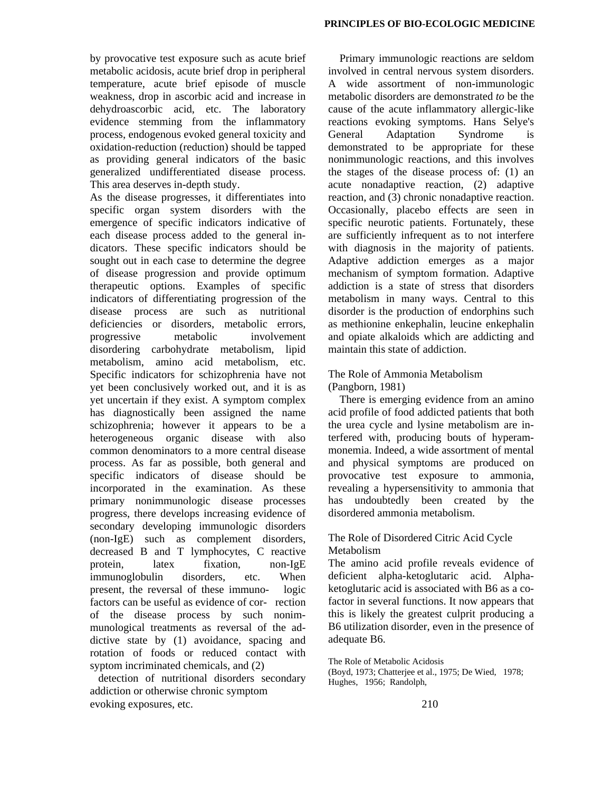by provocative test exposure such as acute brief metabolic acidosis, acute brief drop in peripheral temperature, acute brief episode of muscle weakness, drop in ascorbic acid and increase in dehydroascorbic acid, etc. The laboratory evidence stemming from the inflammatory process, endogenous evoked general toxicity and oxidation-reduction (reduction) should be tapped as providing general indicators of the basic generalized undifferentiated disease process. This area deserves in-depth study.

As the disease progresses, it differentiates into specific organ system disorders with the emergence of specific indicators indicative of each disease process added to the general indicators. These specific indicators should be sought out in each case to determine the degree of disease progression and provide optimum therapeutic options. Examples of specific indicators of differentiating progression of the disease process are such as nutritional deficiencies or disorders, metabolic errors, progressive metabolic involvement disordering carbohydrate metabolism, lipid metabolism, amino acid metabolism, etc. Specific indicators for schizophrenia have not yet been conclusively worked out, and it is as yet uncertain if they exist. A symptom complex has diagnostically been assigned the name schizophrenia; however it appears to be a heterogeneous organic disease with also common denominators to a more central disease process. As far as possible, both general and specific indicators of disease should be incorporated in the examination. As these primary nonimmunologic disease processes progress, there develops increasing evidence of secondary developing immunologic disorders (non-IgE) such as complement disorders, decreased B and T lymphocytes, C reactive protein, latex fixation, non-IgE immunoglobulin disorders, etc. When present, the reversal of these immuno- logic factors can be useful as evidence of cor- rection of the disease process by such nonimmunological treatments as reversal of the addictive state by (1) avoidance, spacing and rotation of foods or reduced contact with syptom incriminated chemicals, and (2)

 detection of nutritional disorders secondary addiction or otherwise chronic symptom evoking exposures, etc.

Primary immunologic reactions are seldom involved in central nervous system disorders. A wide assortment of non-immunologic metabolic disorders are demonstrated *to* be the cause of the acute inflammatory allergic-like reactions evoking symptoms. Hans Selye's General Adaptation Syndrome is demonstrated to be appropriate for these nonimmunologic reactions, and this involves the stages of the disease process of: (1) an acute nonadaptive reaction, (2) adaptive reaction, and (3) chronic nonadaptive reaction. Occasionally, placebo effects are seen in specific neurotic patients. Fortunately, these are sufficiently infrequent as to not interfere with diagnosis in the majority of patients. Adaptive addiction emerges as a major mechanism of symptom formation. Adaptive addiction is a state of stress that disorders metabolism in many ways. Central to this disorder is the production of endorphins such as methionine enkephalin, leucine enkephalin and opiate alkaloids which are addicting and maintain this state of addiction.

# The Role of Ammonia Metabolism (Pangborn, 1981)

There is emerging evidence from an amino acid profile of food addicted patients that both the urea cycle and lysine metabolism are interfered with, producing bouts of hyperammonemia. Indeed, a wide assortment of mental and physical symptoms are produced on provocative test exposure to ammonia, revealing a hypersensitivity to ammonia that has undoubtedly been created by the disordered ammonia metabolism.

# The Role of Disordered Citric Acid Cycle Metabolism

The amino acid profile reveals evidence of deficient alpha-ketoglutaric acid. Alphaketoglutaric acid is associated with B6 as a cofactor in several functions. It now appears that this is likely the greatest culprit producing a B6 utilization disorder, even in the presence of adequate B6.

The Role of Metabolic Acidosis

(Boyd, 1973; Chatterjee et al., 1975; De Wied, 1978; Hughes, 1956; Randolph,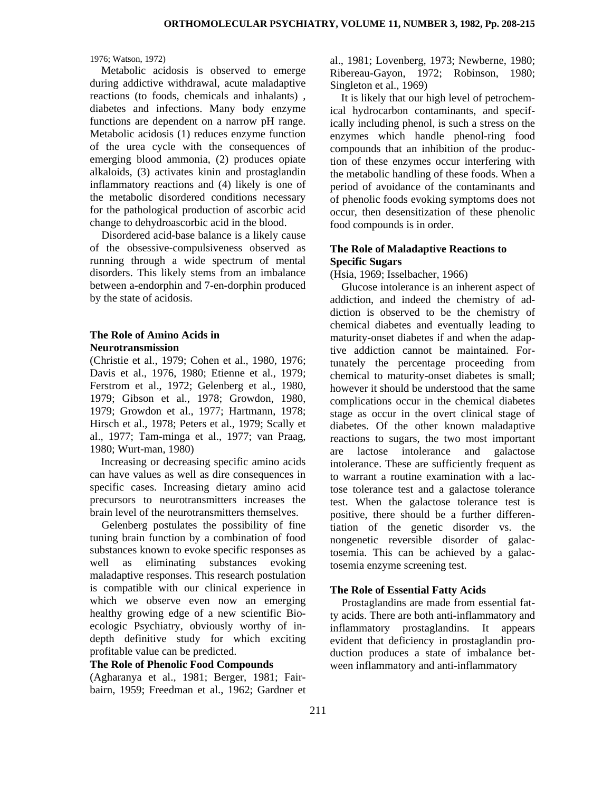#### 1976; Watson, 1972)

Metabolic acidosis is observed to emerge during addictive withdrawal, acute maladaptive reactions (to foods, chemicals and inhalants) , diabetes and infections. Many body enzyme functions are dependent on a narrow pH range. Metabolic acidosis (1) reduces enzyme function of the urea cycle with the consequences of emerging blood ammonia, (2) produces opiate alkaloids, (3) activates kinin and prostaglandin inflammatory reactions and (4) likely is one of the metabolic disordered conditions necessary for the pathological production of ascorbic acid change to dehydroascorbic acid in the blood.

Disordered acid-base balance is a likely cause of the obsessive-compulsiveness observed as running through a wide spectrum of mental disorders. This likely stems from an imbalance between a-endorphin and 7-en-dorphin produced by the state of acidosis.

## **The Role of Amino Acids in Neurotransmission**

(Christie et al., 1979; Cohen et al., 1980, 1976; Davis et al., 1976, 1980; Etienne et al., 1979; Ferstrom et al., 1972; Gelenberg et al., 1980, 1979; Gibson et al., 1978; Growdon, 1980, 1979; Growdon et al., 1977; Hartmann, 1978; Hirsch et al., 1978; Peters et al., 1979; Scally et al., 1977; Tam-minga et al., 1977; van Praag, 1980; Wurt-man, 1980)

Increasing or decreasing specific amino acids can have values as well as dire consequences in specific cases. Increasing dietary amino acid precursors to neurotransmitters increases the brain level of the neurotransmitters themselves.

Gelenberg postulates the possibility of fine tuning brain function by a combination of food substances known to evoke specific responses as well as eliminating substances evoking maladaptive responses. This research postulation is compatible with our clinical experience in which we observe even now an emerging healthy growing edge of a new scientific Bioecologic Psychiatry, obviously worthy of indepth definitive study for which exciting profitable value can be predicted.

### **The Role of Phenolic Food Compounds**

(Agharanya et al., 1981; Berger, 1981; Fairbairn, 1959; Freedman et al., 1962; Gardner et al., 1981; Lovenberg, 1973; Newberne, 1980; Ribereau-Gayon, 1972; Robinson, 1980; Singleton et al., 1969)

It is likely that our high level of petrochemical hydrocarbon contaminants, and specifically including phenol, is such a stress on the enzymes which handle phenol-ring food compounds that an inhibition of the production of these enzymes occur interfering with the metabolic handling of these foods. When a period of avoidance of the contaminants and of phenolic foods evoking symptoms does not occur, then desensitization of these phenolic food compounds is in order.

# **The Role of Maladaptive Reactions to Specific Sugars**

(Hsia, 1969; Isselbacher, 1966)

Glucose intolerance is an inherent aspect of addiction, and indeed the chemistry of addiction is observed to be the chemistry of chemical diabetes and eventually leading to maturity-onset diabetes if and when the adaptive addiction cannot be maintained. Fortunately the percentage proceeding from chemical to maturity-onset diabetes is small; however it should be understood that the same complications occur in the chemical diabetes stage as occur in the overt clinical stage of diabetes. Of the other known maladaptive reactions to sugars, the two most important are lactose intolerance and galactose intolerance. These are sufficiently frequent as to warrant a routine examination with a lactose tolerance test and a galactose tolerance test. When the galactose tolerance test is positive, there should be a further differentiation of the genetic disorder vs. the nongenetic reversible disorder of galactosemia. This can be achieved by a galactosemia enzyme screening test.

## **The Role of Essential Fatty Acids**

Prostaglandins are made from essential fatty acids. There are both anti-inflammatory and inflammatory prostaglandins. It appears evident that deficiency in prostaglandin production produces a state of imbalance between inflammatory and anti-inflammatory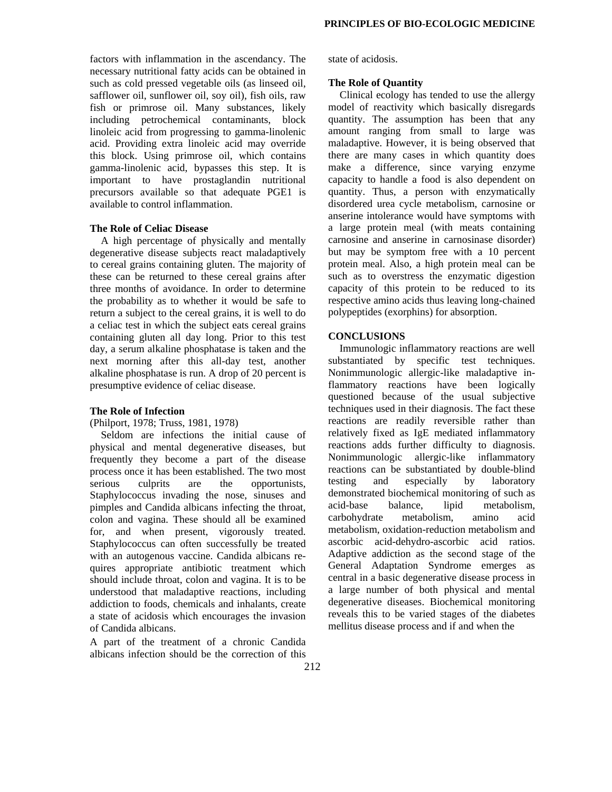factors with inflammation in the ascendancy. The necessary nutritional fatty acids can be obtained in such as cold pressed vegetable oils (as linseed oil, safflower oil, sunflower oil, soy oil), fish oils, raw fish or primrose oil. Many substances, likely including petrochemical contaminants, block linoleic acid from progressing to gamma-linolenic acid. Providing extra linoleic acid may override this block. Using primrose oil, which contains gamma-linolenic acid, bypasses this step. It is important to have prostaglandin nutritional precursors available so that adequate PGE1 is available to control inflammation.

# **The Role of Celiac Disease**

A high percentage of physically and mentally degenerative disease subjects react maladaptively to cereal grains containing gluten. The majority of these can be returned to these cereal grains after three months of avoidance. In order to determine the probability as to whether it would be safe to return a subject to the cereal grains, it is well to do a celiac test in which the subject eats cereal grains containing gluten all day long. Prior to this test day, a serum alkaline phosphatase is taken and the next morning after this all-day test, another alkaline phosphatase is run. A drop of 20 percent is presumptive evidence of celiac disease.

#### **The Role of Infection**

#### (Philport, 1978; Truss, 1981, 1978)

Seldom are infections the initial cause of physical and mental degenerative diseases, but frequently they become a part of the disease process once it has been established. The two most serious culprits are the opportunists, Staphylococcus invading the nose, sinuses and pimples and Candida albicans infecting the throat, colon and vagina. These should all be examined for, and when present, vigorously treated. Staphylococcus can often successfully be treated with an autogenous vaccine. Candida albicans requires appropriate antibiotic treatment which should include throat, colon and vagina. It is to be understood that maladaptive reactions, including addiction to foods, chemicals and inhalants, create a state of acidosis which encourages the invasion of Candida albicans.

A part of the treatment of a chronic Candida albicans infection should be the correction of this

state of acidosis.

#### **The Role of Quantity**

Clinical ecology has tended to use the allergy model of reactivity which basically disregards quantity. The assumption has been that any amount ranging from small to large was maladaptive. However, it is being observed that there are many cases in which quantity does make a difference, since varying enzyme capacity to handle a food is also dependent on quantity. Thus, a person with enzymatically disordered urea cycle metabolism, carnosine or anserine intolerance would have symptoms with a large protein meal (with meats containing carnosine and anserine in carnosinase disorder) but may be symptom free with a 10 percent protein meal. Also, a high protein meal can be such as to overstress the enzymatic digestion capacity of this protein to be reduced to its respective amino acids thus leaving long-chained polypeptides (exorphins) for absorption.

## **CONCLUSIONS**

Immunologic inflammatory reactions are well substantiated by specific test techniques. Nonimmunologic allergic-like maladaptive inflammatory reactions have been logically questioned because of the usual subjective techniques used in their diagnosis. The fact these reactions are readily reversible rather than relatively fixed as IgE mediated inflammatory reactions adds further difficulty to diagnosis. Nonimmunologic allergic-like inflammatory reactions can be substantiated by double-blind testing and especially by laboratory demonstrated biochemical monitoring of such as acid-base balance, lipid metabolism, carbohydrate metabolism, amino acid metabolism, oxidation-reduction metabolism and ascorbic acid-dehydro-ascorbic acid ratios. Adaptive addiction as the second stage of the General Adaptation Syndrome emerges as central in a basic degenerative disease process in a large number of both physical and mental degenerative diseases. Biochemical monitoring reveals this to be varied stages of the diabetes mellitus disease process and if and when the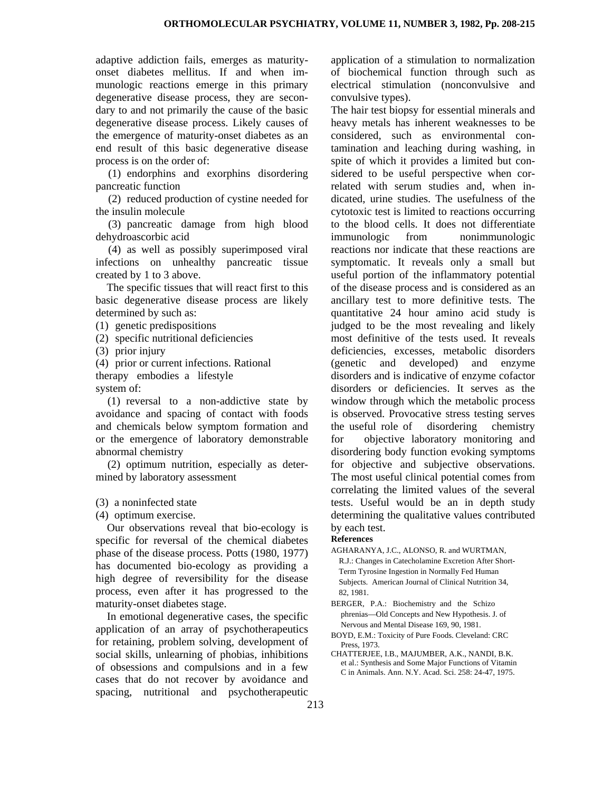adaptive addiction fails, emerges as maturityonset diabetes mellitus. If and when immunologic reactions emerge in this primary degenerative disease process, they are secondary to and not primarily the cause of the basic degenerative disease process. Likely causes of the emergence of maturity-onset diabetes as an end result of this basic degenerative disease process is on the order of:

(1) endorphins and exorphins disordering pancreatic function

(2) reduced production of cystine needed for the insulin molecule

(3) pancreatic damage from high blood dehydroascorbic acid

(4) as well as possibly superimposed viral infections on unhealthy pancreatic tissue created by 1 to 3 above.

The specific tissues that will react first to this basic degenerative disease process are likely determined by such as:

- (1) genetic predispositions
- (2) specific nutritional deficiencies
- (3) prior injury

(4) prior or current infections. Rational

therapy embodies a lifestyle

system of:

(1) reversal to a non-addictive state by avoidance and spacing of contact with foods and chemicals below symptom formation and or the emergence of laboratory demonstrable abnormal chemistry

(2) optimum nutrition, especially as determined by laboratory assessment

(3) a noninfected state

(4) optimum exercise.

Our observations reveal that bio-ecology is specific for reversal of the chemical diabetes phase of the disease process. Potts (1980, 1977) has documented bio-ecology as providing a high degree of reversibility for the disease process, even after it has progressed to the maturity-onset diabetes stage.

In emotional degenerative cases, the specific application of an array of psychotherapeutics for retaining, problem solving, development of social skills, unlearning of phobias, inhibitions of obsessions and compulsions and in a few cases that do not recover by avoidance and spacing, nutritional and psychotherapeutic application of a stimulation to normalization of biochemical function through such as electrical stimulation (nonconvulsive and convulsive types).

The hair test biopsy for essential minerals and heavy metals has inherent weaknesses to be considered, such as environmental contamination and leaching during washing, in spite of which it provides a limited but considered to be useful perspective when correlated with serum studies and, when indicated, urine studies. The usefulness of the cytotoxic test is limited to reactions occurring to the blood cells. It does not differentiate immunologic from nonimmunologic reactions nor indicate that these reactions are symptomatic. It reveals only a small but useful portion of the inflammatory potential of the disease process and is considered as an ancillary test to more definitive tests. The quantitative 24 hour amino acid study is judged to be the most revealing and likely most definitive of the tests used. It reveals deficiencies, excesses, metabolic disorders (genetic and developed) and enzyme disorders and is indicative of enzyme cofactor disorders or deficiencies. It serves as the window through which the metabolic process is observed. Provocative stress testing serves the useful role of disordering chemistry for objective laboratory monitoring and disordering body function evoking symptoms for objective and subjective observations. The most useful clinical potential comes from correlating the limited values of the several tests. Useful would be an in depth study determining the qualitative values contributed by each test.

## **References**

- AGHARANYA, J.C., ALONSO, R. and WURTMAN, R.J.: Changes in Catecholamine Excretion After Short- Term Tyrosine Ingestion in Normally Fed Human Subjects. American Journal of Clinical Nutrition 34, 82, 1981.
- BERGER, P.A.: Biochemistry and the Schizo phrenias—Old Concepts and New Hypothesis. J. of Nervous and Mental Disease 169, 90, 1981.
- BOYD, E.M.: Toxicity of Pure Foods. Cleveland: CRC Press, 1973.
- CHATTERJEE, I.B., MAJUMBER, A.K., NANDI, B.K. et al.: Synthesis and Some Major Functions of Vitamin C in Animals. Ann. N.Y. Acad. Sci. 258: 24-47, 1975.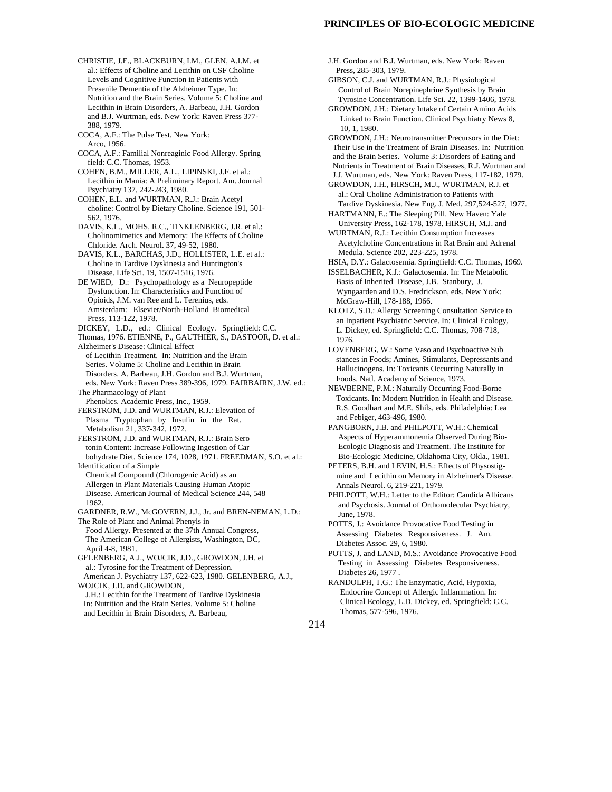- CHRISTIE, J.E., BLACKBURN, I.M., GLEN, A.I.M. et al.: Effects of Choline and Lecithin on CSF Choline Levels and Cognitive Function in Patients with Presenile Dementia of the Alzheimer Type. In: Nutrition and the Brain Series. Volume 5: Choline and Lecithin in Brain Disorders, A. Barbeau, J.H. Gordon and B.J. Wurtman, eds. New York: Raven Press 377- 388, 1979.
- COCA, A.F.: The Pulse Test. New York: Arco, 1956.
- COCA, A.F.: Familial Nonreaginic Food Allergy. Spring field: C.C. Thomas, 1953.
- COHEN, B.M., MILLER, A.L., LIPINSKI, J.F. et al.: Lecithin in Mania: A Preliminary Report. Am. Journal Psychiatry 137, 242-243, 1980.
- COHEN, E.L. and WURTMAN, R.J.: Brain Acetyl choline: Control by Dietary Choline. Science 191, 501- 562, 1976.
- DAVIS, K.L., MOHS, R.C., TINKLENBERG, J.R. et al.: Cholinomimetics and Memory: The Effects of Choline Chloride. Arch. Neurol. 37, 49-52, 1980.
- DAVIS, K.L., BARCHAS, J.D., HOLLISTER, L.E. et al.: Choline in Tardive Dyskinesia and Huntington's Disease. Life Sci. 19, 1507-1516, 1976.
- DE WIED, D.: Psychopathology as a Neuropeptide Dysfunction. In: Characteristics and Function of Opioids, J.M. van Ree and L. Terenius, eds. Amsterdam: Elsevier/North-Holland Biomedical Press, 113-122, 1978.
- DICKEY, L.D., ed.: Clinical Ecology. Springfield: C.C.
- Thomas, 1976. ETIENNE, P., GAUTHIER, S., DASTOOR, D. et al.: Alzheimer's Disease: Clinical Effect
- of Lecithin Treatment. In: Nutrition and the Brain Series. Volume 5: Choline and Lecithin in Brain Disorders. A. Barbeau, J.H. Gordon and B.J. Wurtman, eds. New York: Raven Press 389-396, 1979. FAIRBAIRN, J.W. ed.: The Pharmacology of Plant
- Phenolics. Academic Press, Inc., 1959.
- FERSTROM, J.D. and WURTMAN, R.J.: Elevation of Plasma Tryptophan by Insulin in the Rat. Metabolism 21, 337-342, 1972.
- FERSTROM, J.D. and WURTMAN, R.J.: Brain Sero tonin Content: Increase Following Ingestion of Car bohydrate Diet. Science 174, 1028, 1971. FREEDMAN, S.O. et al.:
- Identification of a Simple Chemical Compound (Chlorogenic Acid) as an Allergen in Plant Materials Causing Human Atopic Disease. American Journal of Medical Science 244, 548 1962.
- GARDNER, R.W., McGOVERN, J.J., Jr. and BREN-NEMAN, L.D.: The Role of Plant and Animal Phenyls in
- Food Allergy. Presented at the 37th Annual Congress, The American College of Allergists, Washington, DC, April 4-8, 1981.
- GELENBERG, A.J., WOJCIK, J.D., GROWDON, J.H. et al.: Tyrosine for the Treatment of Depression. American J. Psychiatry 137, 622-623, 1980. GELENBERG, A.J., WOJCIK, J.D. and GROWDON,
- J.H.: Lecithin for the Treatment of Tardive Dyskinesia In: Nutrition and the Brain Series. Volume 5: Choline and Lecithin in Brain Disorders, A. Barbeau,
- J.H. Gordon and B.J. Wurtman, eds. New York: Raven Press, 285-303, 1979. GIBSON, C.J. and WURTMAN, R.J.: Physiological Control of Brain Norepinephrine Synthesis by Brain Tyrosine Concentration. Life Sci. 22, 1399-1406, 1978. GROWDON, J.H.: Dietary Intake of Certain Amino Acids Linked to Brain Function. Clinical Psychiatry News 8, 10, 1, 1980. GROWDON, J.H.: Neurotransmitter Precursors in the Diet: Their Use in the Treatment of Brain Diseases. In: Nutrition and the Brain Series. Volume 3: Disorders of Eating and Nutrients in Treatment of Brain Diseases, R.J. Wurtman and J.J. Wurtman, eds. New York: Raven Press, 117-182, 1979. GROWDON, J.H., HIRSCH, M.J., WURTMAN, R.J. et al.: Oral Choline Administration to Patients with Tardive Dyskinesia. New Eng. J. Med. 297,524-527, 1977. HARTMANN, E.: The Sleeping Pill. New Haven: Yale University Press, 162-178, 1978. HIRSCH, M.J. and WURTMAN, R.J.: Lecithin Consumption Increases Acetylcholine Concentrations in Rat Brain and Adrenal Medula. Science 202, 223-225, 1978. HSIA, D.Y.: Galactosemia. Springfield: C.C. Thomas, 1969. ISSELBACHER, K.J.: Galactosemia. In: The Metabolic Basis of Inherited Disease, J.B. Stanbury, J. Wyngaarden and D.S. Fredrickson, eds. New York: McGraw-Hill, 178-188, 1966. KLOTZ, S.D.: Allergy Screening Consultation Service to
- an Inpatient Psychiatric Service. In: Clinical Ecology, L. Dickey, ed. Springfield: C.C. Thomas, 708-718, 1976.
- LOVENBERG, W.: Some Vaso and Psychoactive Sub stances in Foods; Amines, Stimulants, Depressants and Hallucinogens. In: Toxicants Occurring Naturally in Foods. Natl. Academy of Science, 1973.
- NEWBERNE, P.M.: Naturally Occurring Food-Borne Toxicants. In: Modern Nutrition in Health and Disease. R.S. Goodhart and M.E. Shils, eds. Philadelphia: Lea and Febiger, 463-496, 1980.
- PANGBORN, J.B. and PHILPOTT, W.H.: Chemical Aspects of Hyperammonemia Observed During Bio- Ecologic Diagnosis and Treatment. The Institute for Bio-Ecologic Medicine, Oklahoma City, Okla., 1981.
- PETERS, B.H. and LEVIN, H.S.: Effects of Physostig mine and Lecithin on Memory in Alzheimer's Disease. Annals Neurol. 6, 219-221, 1979.
- PHILPOTT, W.H.: Letter to the Editor: Candida Albicans and Psychosis. Journal of Orthomolecular Psychiatry, June, 1978.
- POTTS, J.: Avoidance Provocative Food Testing in Assessing Diabetes Responsiveness. J. Am. Diabetes Assoc. 29, 6, 1980.
- POTTS, J. and LAND, M.S.: Avoidance Provocative Food Testing in Assessing Diabetes Responsiveness. Diabetes 26, 1977 .
- RANDOLPH, T.G.: The Enzymatic, Acid, Hypoxia, Endocrine Concept of Allergic Inflammation. In: Clinical Ecology, L.D. Dickey, ed. Springfield: C.C. Thomas, 577-596, 1976.

214